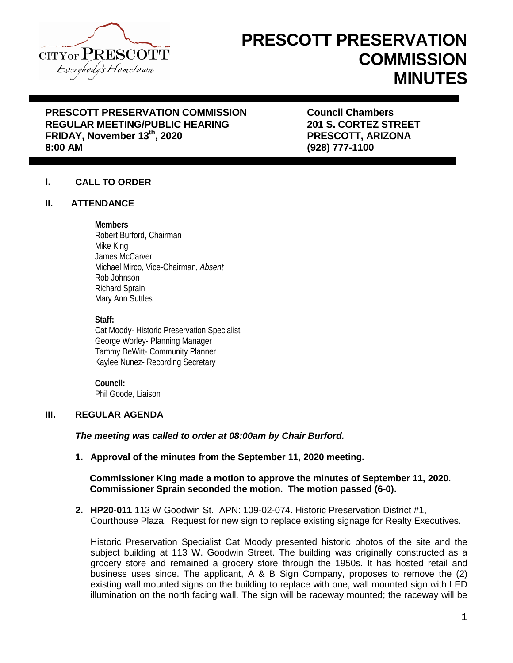

# **PRESCOTT PRESERVATION COMMISSION MINUTES**

# **PRESCOTT PRESERVATION COMMISSION COUNCIL COUNCIL COMMISSION**<br>REGULAR MEETING/PUBLIC HEARING 201 S. CORTEZ STREET **REGULAR MEETING/PUBLIC HEARING FRIDAY, November 13th, 2020 PRESCOTT, ARIZONA**

**8:00 AM (928) 777-1100**

# **I. CALL TO ORDER**

## **II. ATTENDANCE**

## **Members**

Robert Burford, Chairman Mike King James McCarver Michael Mirco, Vice-Chairman, *Absent*  Rob Johnson Richard Sprain Mary Ann Suttles

#### **Staff:**

Cat Moody- Historic Preservation Specialist George Worley- Planning Manager Tammy DeWitt- Community Planner Kaylee Nunez- Recording Secretary

**Council:** Phil Goode, Liaison

# **III. REGULAR AGENDA**

# *The meeting was called to order at 08:00am by Chair Burford.*

**1. Approval of the minutes from the September 11, 2020 meeting.**

## **Commissioner King made a motion to approve the minutes of September 11, 2020. Commissioner Sprain seconded the motion. The motion passed (6-0).**

**2. HP20-011** 113 W Goodwin St. APN: 109-02-074. Historic Preservation District #1, Courthouse Plaza. Request for new sign to replace existing signage for Realty Executives.

Historic Preservation Specialist Cat Moody presented historic photos of the site and the subject building at 113 W. Goodwin Street. The building was originally constructed as a grocery store and remained a grocery store through the 1950s. It has hosted retail and business uses since. The applicant, A & B Sign Company, proposes to remove the (2) existing wall mounted signs on the building to replace with one, wall mounted sign with LED illumination on the north facing wall. The sign will be raceway mounted; the raceway will be